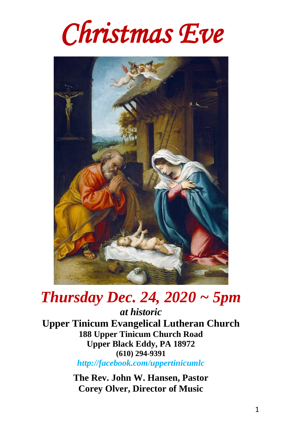



# *Thursday Dec. 24, 2020 ~ 5pm*

*at historic* **Upper Tinicum Evangelical Lutheran Church 188 Upper Tinicum Church Road Upper Black Eddy, PA 18972 (610) 294-9391** *http://facebook.com/uppertinicumlc*

> **The Rev. John W. Hansen, Pastor Corey Olver, Director of Music**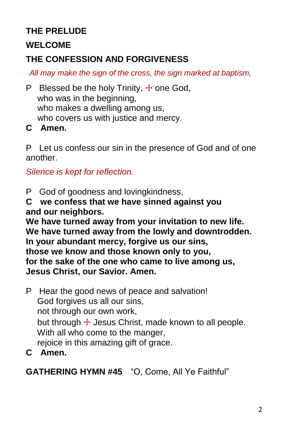### **THE PRELUDE**

#### **WELCOME**

### **THE CONFESSION AND FORGIVENESS**

*All may make the sign of the cross, the sign marked at baptism,* 

P Blessed be the holy Trinity,  $\pm$  one God, who was in the beginning, who makes a dwelling among us, who covers us with justice and mercy.

**C Amen.**

P Let us confess our sin in the presence of God and of one another.

*Silence is kept for reflection.*

P God of goodness and lovingkindness,

**C we confess that we have sinned against you and our neighbors.**

**We have turned away from your invitation to new life. We have turned away from the lowly and downtrodden. In your abundant mercy, forgive us our sins, those we know and those known only to you, for the sake of the one who came to live among us, Jesus Christ, our Savior. Amen.**

P Hear the good news of peace and salvation! God forgives us all our sins, not through our own work, but through  $\pm$  Jesus Christ, made known to all people. With all who come to the manger. rejoice in this amazing gift of grace.

**C Amen.**

**GATHERING HYMN #45** "O, Come, All Ye Faithful"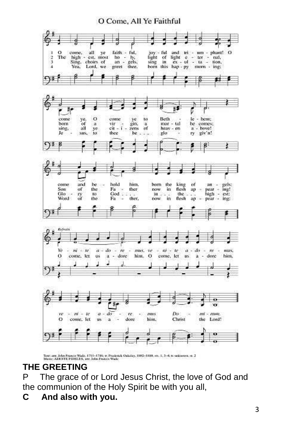#### O Come, All Ye Faithful



Toot arr. John Francis Wada, 1711-1786; v. Prederick Oxkeley, 1902-1990, sts. 1, 3-4; tt unknown, st. 2<br>Masic: ADESTE PERELES, atr. John Francis Wada

### **THE GREETING**

P The grace of or Lord Jesus Christ, the love of God and the communion of the Holy Spirit be with you all,

**C And also with you.**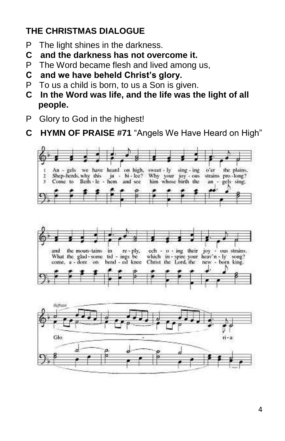### **THE CHRISTMAS DIALOGUE**

- P The light shines in the darkness.
- **C and the darkness has not overcome it.**
- P The Word became flesh and lived among us,
- **C and we have beheld Christ's glory.**
- P To us a child is born, to us a Son is given.
- **C In the Word was life, and the life was the light of all people.**
- P Glory to God in the highest!
- **C HYMN OF PRAISE #71** "Angels We Have Heard on High"





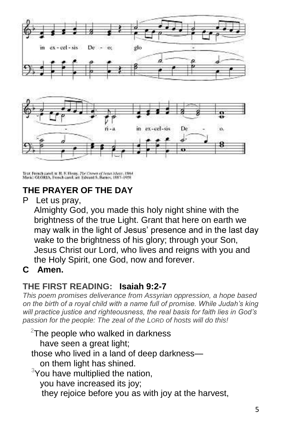



Text: French zarob tr. H. F. Henry, 7Dr Crews of Jesus Music, 1964<br>Morie: GLORIA, French carol: am Edward S. Barnes, 1997-1998

### **THE PRAYER OF THE DAY**

P Let us pray,

 Almighty God, you made this holy night shine with the brightness of the true Light. Grant that here on earth we may walk in the light of Jesus' presence and in the last day wake to the brightness of his glory; through your Son, Jesus Christ our Lord, who lives and reigns with you and the Holy Spirit, one God, now and forever.

### **C Amen.**

### **THE FIRST READING: Isaiah 9:2-7**

*This poem promises deliverance from Assyrian oppression, a hope based on the birth of a royal child with a name full of promise. While Judah's king will practice justice and righteousness, the real basis for faith lies in God's passion for the people: The zeal of the LORD of hosts will do this!*

 $2$ The people who walked in darkness have seen a great light; those who lived in a land of deep darkness on them light has shined.  $3$ You have multiplied the nation, you have increased its joy; they rejoice before you as with joy at the harvest,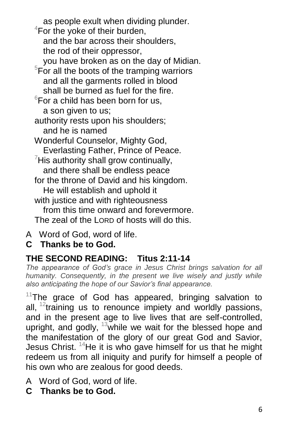as people exult when dividing plunder. <sup>4</sup>For the yoke of their burden, and the bar across their shoulders, the rod of their oppressor, you have broken as on the day of Midian.  $5$ For all the boots of the tramping warriors and all the garments rolled in blood shall be burned as fuel for the fire.  $6$ For a child has been born for us, a son given to us; authority rests upon his shoulders; and he is named Wonderful Counselor, Mighty God, Everlasting Father, Prince of Peace.  $\mathrm{7}$ His authority shall grow continually, and there shall be endless peace for the throne of David and his kingdom. He will establish and uphold it with justice and with righteousness from this time onward and forevermore. The zeal of the LORD of hosts will do this.

- A Word of God, word of life.
- **C Thanks be to God.**

### **THE SECOND READING: Titus 2:11-14**

*The appearance of God's grace in Jesus Christ brings salvation for all humanity. Consequently, in the present we live wisely and justly while also anticipating the hope of our Savior's final appearance.*

 $11$ The grace of God has appeared, bringing salvation to all,  $12$ training us to renounce impiety and worldly passions, and in the present age to live lives that are self-controlled, upright, and godly,  $13$  while we wait for the blessed hope and the manifestation of the glory of our great God and Savior, Jesus Christ. <sup>14</sup>He it is who gave himself for us that he might redeem us from all iniquity and purify for himself a people of his own who are zealous for good deeds.

- A Word of God, word of life.
- **C Thanks be to God.**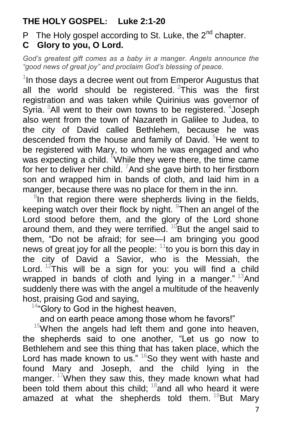### **THE HOLY GOSPEL: Luke 2:1-20**

P The Holy gospel according to St. Luke, the  $2^{nd}$  chapter. **C Glory to you, O Lord.**

*God's greatest gift comes as a baby in a manger. Angels announce the "good news of great joy" and proclaim God's blessing of peace.*

 $1$ In those days a decree went out from Emperor Augustus that all the world should be registered.  $2\text{th}$  was the first registration and was taken while Quirinius was governor of Syria. <sup>3</sup>All went to their own towns to be registered. <sup>4</sup>Joseph also went from the town of Nazareth in Galilee to Judea, to the city of David called Bethlehem, because he was descended from the house and family of David. <sup>5</sup>He went to be registered with Mary, to whom he was engaged and who was expecting a child.  $6$ While they were there, the time came for her to deliver her child.  $7$  And she gave birth to her firstborn son and wrapped him in bands of cloth, and laid him in a manger, because there was no place for them in the inn.

 $8$ In that region there were shepherds living in the fields, keeping watch over their flock by night. <sup>9</sup>Then an angel of the Lord stood before them, and the glory of the Lord shone around them, and they were terrified. <sup>10</sup>But the angel said to them, "Do not be afraid; for see—I am bringing you good news of great joy for all the people:  $11$  to you is born this day in the city of David a Savior, who is the Messiah, the Lord.  $12$ This will be a sign for you: you will find a child wrapped in bands of cloth and lying in a manger."  $13$ And suddenly there was with the angel a multitude of the heavenly host, praising God and saying,

 $14^4$  Glory to God in the highest heaven,

and on earth peace among those whom he favors!"

 $15$ When the angels had left them and gone into heaven, the shepherds said to one another, "Let us go now to Bethlehem and see this thing that has taken place, which the Lord has made known to us."  $16$ So they went with haste and found Mary and Joseph, and the child lying in the manger.  $17$ When they saw this, they made known what had been told them about this child;  $18$  and all who heard it were amazed at what the shepherds told them.  $^{19}$ But Mary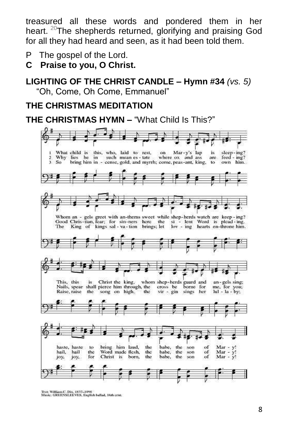treasured all these words and pondered them in her heart. <sup>20</sup>The shepherds returned, glorifying and praising God for all they had heard and seen, as it had been told them.

- P The gospel of the Lord.
- **C Praise to you, O Christ.**

#### **LIGHTING OF THE CHRIST CANDLE – Hymn #34** *(vs. 5)* "Oh, Come, Oh Come, Emmanuel"

#### **THE CHRISTMAS MEDITATION**

#### **THE CHRISTMAS HYMN –** "What Child Is This?"



Text: William C. Div, 1837-1898<br>Music: GREENSLEEVES, English ballad, 16th cent.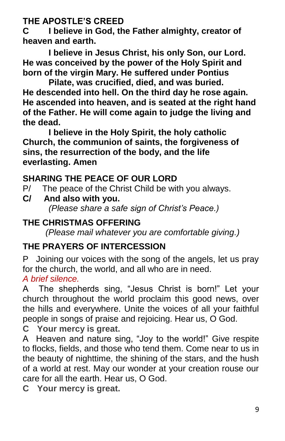**THE APOSTLE'S CREED**

**C I believe in God, the Father almighty, creator of heaven and earth.**

**I believe in Jesus Christ, his only Son, our Lord. He was conceived by the power of the Holy Spirit and born of the virgin Mary. He suffered under Pontius** 

**Pilate, was crucified, died, and was buried. He descended into hell. On the third day he rose again. He ascended into heaven, and is seated at the right hand of the Father. He will come again to judge the living and the dead.**

**I believe in the Holy Spirit, the holy catholic Church, the communion of saints, the forgiveness of sins, the resurrection of the body, and the life everlasting. Amen**

### **SHARING THE PEACE OF OUR LORD**

P/ The peace of the Christ Child be with you always.

**C/ And also with you.** *(Please share a safe sign of Christ's Peace.)*

### **THE CHRISTMAS OFFERING**

 *(Please mail whatever you are comfortable giving.)*

### **THE PRAYERS OF INTERCESSION**

P Joining our voices with the song of the angels, let us pray for the church, the world, and all who are in need.

### *A brief silence.*

A The shepherds sing, "Jesus Christ is born!" Let your church throughout the world proclaim this good news, over the hills and everywhere. Unite the voices of all your faithful people in songs of praise and rejoicing. Hear us, O God.

**C Your mercy is great.**

A Heaven and nature sing, "Joy to the world!" Give respite to flocks, fields, and those who tend them. Come near to us in the beauty of nighttime, the shining of the stars, and the hush of a world at rest. May our wonder at your creation rouse our care for all the earth. Hear us, O God.

**C Your mercy is great.**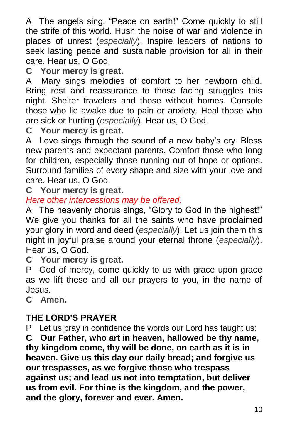A The angels sing, "Peace on earth!" Come quickly to still the strife of this world. Hush the noise of war and violence in places of unrest (*especially*). Inspire leaders of nations to seek lasting peace and sustainable provision for all in their care. Hear us, O God.

**C Your mercy is great.**

A Mary sings melodies of comfort to her newborn child. Bring rest and reassurance to those facing struggles this night. Shelter travelers and those without homes. Console those who lie awake due to pain or anxiety. Heal those who are sick or hurting (*especially*). Hear us, O God.

**C Your mercy is great.**

A Love sings through the sound of a new baby's cry. Bless new parents and expectant parents. Comfort those who long for children, especially those running out of hope or options. Surround families of every shape and size with your love and care. Hear us, O God.

**C Your mercy is great.**

### *Here other intercessions may be offered.*

A The heavenly chorus sings, "Glory to God in the highest!" We give you thanks for all the saints who have proclaimed your glory in word and deed (*especially*). Let us join them this night in joyful praise around your eternal throne (*especially*). Hear us, O God.

**C Your mercy is great.**

P God of mercy, come quickly to us with grace upon grace as we lift these and all our prayers to you, in the name of Jesus.

**C Amen.**

### **THE LORD'S PRAYER**

P Let us pray in confidence the words our Lord has taught us:

**C Our Father, who art in heaven, hallowed be thy name, thy kingdom come, thy will be done, on earth as it is in heaven. Give us this day our daily bread; and forgive us our trespasses, as we forgive those who trespass against us; and lead us not into temptation, but deliver us from evil. For thine is the kingdom, and the power, and the glory, forever and ever. Amen.**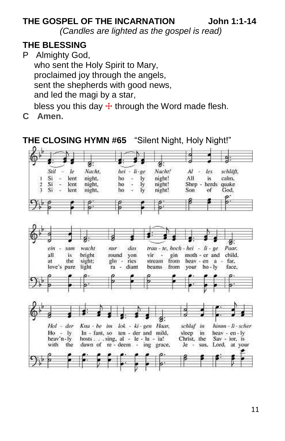### **THE GOSPEL OF THE INCARNATION John 1:1-14**

*(Candles are lighted as the gospel is read)*

#### **THE BLESSING**

P Almighty God, who sent the Holy Spirit to Mary, proclaimed joy through the angels, sent the shepherds with good news, and led the magi by a star, bless you this day  $+$  through the Word made flesh.

**C Amen.**



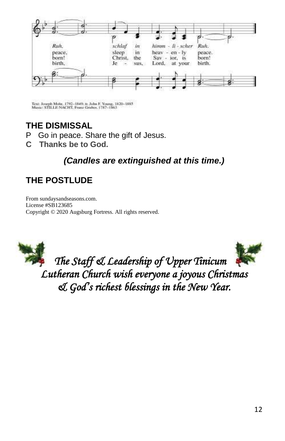

Text: Joseph Mobr, 1792-1849; tr. John F. Young, 1820-1885<br>Music: STB.LE NACHT, Franz Gruber, 1787-1863

### **THE DISMISSAL**

- P Go in peace. Share the gift of Jesus.
- **C Thanks be to God.**

### *(Candles are extinguished at this time.)*

### **THE POSTLUDE**

From sundaysandseasons.com. License #SB123685 Copyright © 2020 Augsburg Fortress. All rights reserved.





*The Staff & Leadership of Upper Tinicum Lutheran Church wish everyone a joyous Christmas & God's richest blessings in the New Year.*